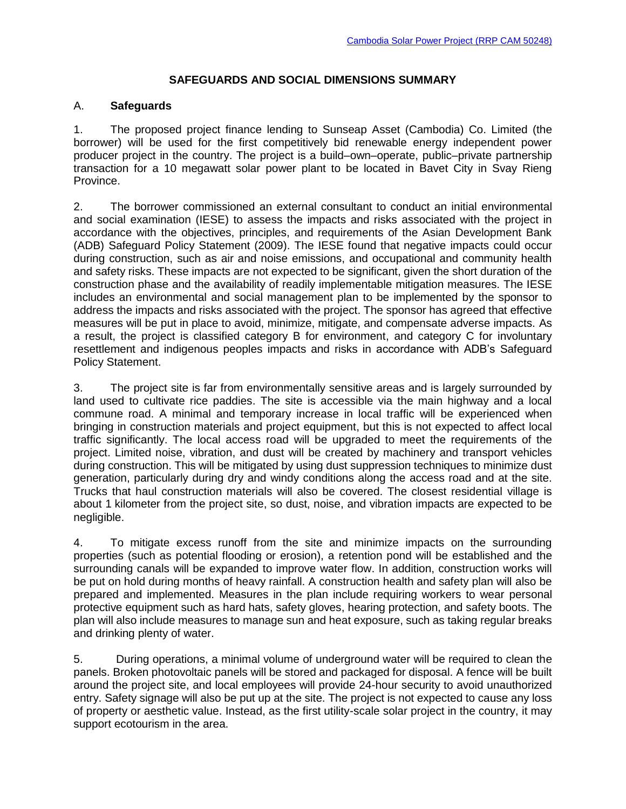## **SAFEGUARDS AND SOCIAL DIMENSIONS SUMMARY**

## A. **Safeguards**

1. The proposed project finance lending to Sunseap Asset (Cambodia) Co. Limited (the borrower) will be used for the first competitively bid renewable energy independent power producer project in the country. The project is a build–own–operate, public–private partnership transaction for a 10 megawatt solar power plant to be located in Bavet City in Svay Rieng Province.

2. The borrower commissioned an external consultant to conduct an initial environmental and social examination (IESE) to assess the impacts and risks associated with the project in accordance with the objectives, principles, and requirements of the Asian Development Bank (ADB) Safeguard Policy Statement (2009). The IESE found that negative impacts could occur during construction, such as air and noise emissions, and occupational and community health and safety risks. These impacts are not expected to be significant, given the short duration of the construction phase and the availability of readily implementable mitigation measures. The IESE includes an environmental and social management plan to be implemented by the sponsor to address the impacts and risks associated with the project. The sponsor has agreed that effective measures will be put in place to avoid, minimize, mitigate, and compensate adverse impacts. As a result, the project is classified category B for environment, and category C for involuntary resettlement and indigenous peoples impacts and risks in accordance with ADB's Safeguard Policy Statement.

3. The project site is far from environmentally sensitive areas and is largely surrounded by land used to cultivate rice paddies. The site is accessible via the main highway and a local commune road. A minimal and temporary increase in local traffic will be experienced when bringing in construction materials and project equipment, but this is not expected to affect local traffic significantly. The local access road will be upgraded to meet the requirements of the project. Limited noise, vibration, and dust will be created by machinery and transport vehicles during construction. This will be mitigated by using dust suppression techniques to minimize dust generation, particularly during dry and windy conditions along the access road and at the site. Trucks that haul construction materials will also be covered. The closest residential village is about 1 kilometer from the project site, so dust, noise, and vibration impacts are expected to be negligible.

4. To mitigate excess runoff from the site and minimize impacts on the surrounding properties (such as potential flooding or erosion), a retention pond will be established and the surrounding canals will be expanded to improve water flow. In addition, construction works will be put on hold during months of heavy rainfall. A construction health and safety plan will also be prepared and implemented. Measures in the plan include requiring workers to wear personal protective equipment such as hard hats, safety gloves, hearing protection, and safety boots. The plan will also include measures to manage sun and heat exposure, such as taking regular breaks and drinking plenty of water.

5. During operations, a minimal volume of underground water will be required to clean the panels. Broken photovoltaic panels will be stored and packaged for disposal. A fence will be built around the project site, and local employees will provide 24-hour security to avoid unauthorized entry. Safety signage will also be put up at the site. The project is not expected to cause any loss of property or aesthetic value. Instead, as the first utility-scale solar project in the country, it may support ecotourism in the area.